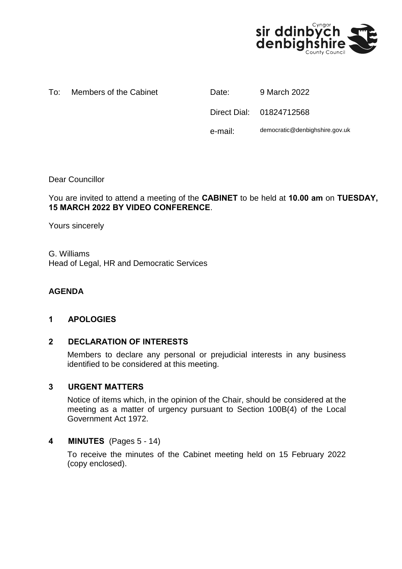

#### To: Members of the Cabinet **Date:** 9 March 2022

Direct Dial: 01824712568 e-mail: democratic@denbighshire.gov.uk

Dear Councillor

You are invited to attend a meeting of the **CABINET** to be held at **10.00 am** on **TUESDAY, 15 MARCH 2022 BY VIDEO CONFERENCE**.

Yours sincerely

G. Williams Head of Legal, HR and Democratic Services

# **AGENDA**

### **1 APOLOGIES**

### **2 DECLARATION OF INTERESTS**

Members to declare any personal or prejudicial interests in any business identified to be considered at this meeting.

#### **3 URGENT MATTERS**

Notice of items which, in the opinion of the Chair, should be considered at the meeting as a matter of urgency pursuant to Section 100B(4) of the Local Government Act 1972.

### **4 MINUTES** (Pages 5 - 14)

To receive the minutes of the Cabinet meeting held on 15 February 2022 (copy enclosed).